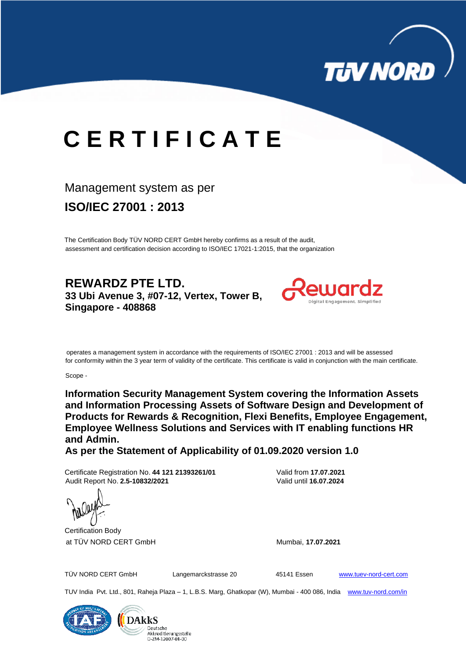

# **C E R T I F I C A T E**

## Management system as per

**ISO/IEC 27001 : 2013** 

The Certification Body TÜV NORD CERT GmbH hereby confirms as a result of the audit, assessment and certification decision according to ISO/IEC 17021-1:2015, that the organization

**REWARDZ PTE LTD. 33 Ubi Avenue 3, #07-12, Vertex, Tower B, Singapore - 408868**



 operates a management system in accordance with the requirements of ISO/IEC 27001 : 2013 and will be assessed for conformity within the 3 year term of validity of the certificate. This certificate is valid in conjunction with the main certificate.

Scope -

**Information Security Management System covering the Information Assets and Information Processing Assets of Software Design and Development of Products for Rewards & Recognition, Flexi Benefits, Employee Engagement, Employee Wellness Solutions and Services with IT enabling functions HR and Admin.**

**As per the Statement of Applicability of 01.09.2020 version 1.0**

Certificate Registration No. **44 121 21393261/01** Valid from **17.07.2021** Audit Report No. **2.5-10832/2021** Valid until **16.07.2024**



TÜV NORD CERT GmbH Langemarckstrasse 20 45141 Essen [www.tuev-nord-cert.com](http://www.tuev-nord-cert.com/)

TUV India Pvt. Ltd., 801, Raheja Plaza – 1, L.B.S. Marg, Ghatkopar (W), Mumbai - 400 086, India www.tuv-nord.com/in

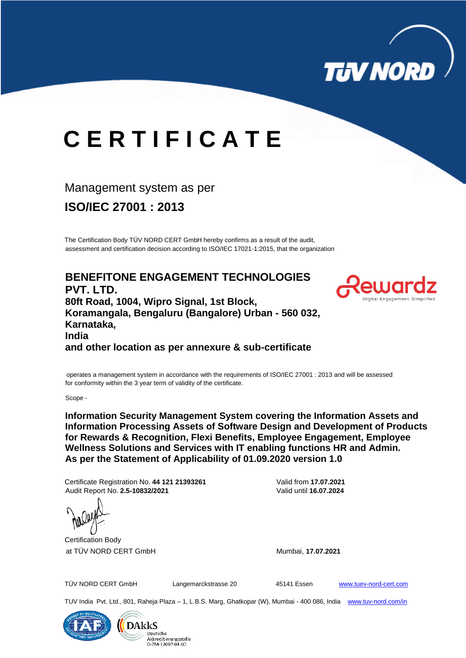

# **C E R T I F I C A T E**

## Management system as per

**ISO/IEC 27001 : 2013**

The Certification Body TÜV NORD CERT GmbH hereby confirms as a result of the audit, assessment and certification decision according to ISO/IEC 17021-1:2015, that the organization

**BENEFITONE ENGAGEMENT TECHNOLOGIES PVT. LTD. 80ft Road, 1004, Wipro Signal, 1st Block, Koramangala, Bengaluru (Bangalore) Urban - 560 032, Karnataka, India and other location as per annexure & sub-certificate**



operates a management system in accordance with the requirements of ISO/IEC 27001 : 2013 and will be assessed for conformity within the 3 year term of validity of the certificate.

Scope -

**Information Security Management System covering the Information Assets and Information Processing Assets of Software Design and Development of Products for Rewards & Recognition, Flexi Benefits, Employee Engagement, Employee Wellness Solutions and Services with IT enabling functions HR and Admin. As per the Statement of Applicability of 01.09.2020 version 1.0**

Certificate Registration No. **44 121 21393261** Valid from **17.07.2021** Audit Report No. **2.5-10832/2021** Valid until **16.07.2024**



TÜV NORD CERT GmbH Langemarckstrasse 20 45141 Essen [www.tuev-nord-cert.com](http://www.tuev-nord-cert.com/)

TUV India Pvt. Ltd., 801, Raheja Plaza – 1, L.B.S. Marg, Ghatkopar (W), Mumbai - 400 086, India www.tuv-nord.com/in



**DAkkS** eutsche Akkreditierungsstelle D-ZM-12007-01-00